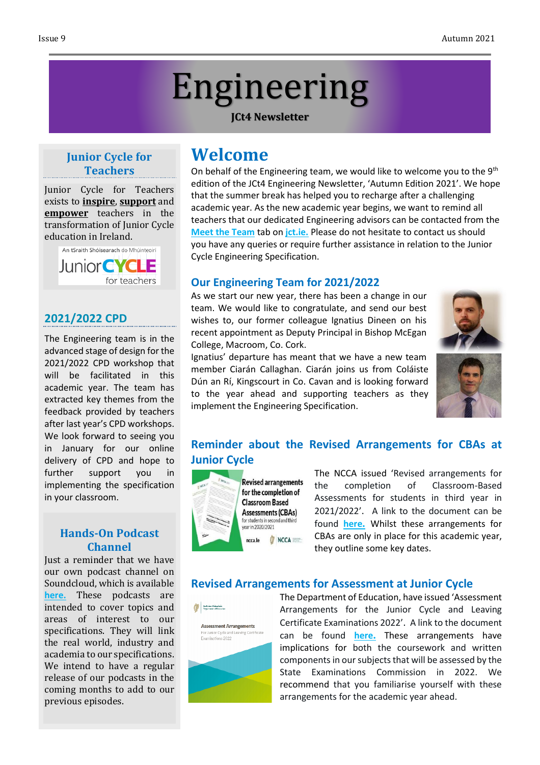# Engineering

**JCt4 Newsletter**

## **Junior Cycle for Teachers**

Junior Cycle for Teachers exists to **inspire**, **support** and **empower** teachers in the transformation of Junior Cycle education in Ireland.



## **2021/2022 CPD**

The Engineering team is in the advanced stage of design for the 2021/2022 CPD workshop that will be facilitated in this academic year. The team has extracted key themes from the feedback provided by teachers after last year's CPD workshops. We look forward to seeing you in January for our online delivery of CPD and hope to further support you in implementing the specification in your classroom.

#### **Hands-On Podcast Channel**

Just a reminder that we have our own podcast channel on Soundcloud, which is available **[here.](https://soundcloud.com/user-65250337/sets/jct4)** These podcasts are intended to cover topics and areas of interest to our specifications. They will link the real world, industry and academia to our specifications. We intend to have a regular release of our podcasts in the coming months to add to our previous episodes.

## **Welcome**

On behalf of the Engineering team, we would like to welcome you to the  $9^{\text{th}}$ edition of the JCt4 Engineering Newsletter, 'Autumn Edition 2021'. We hope that the summer break has helped you to recharge after a challenging academic year. As the new academic year begins, we want to remind all teachers that our dedicated Engineering advisors can be contacted from the **Meet the [Team](http://jct.ie/home/meet_the_team)** tab on **[jct.ie.](http://jct.ie/home/home.php)** Please do not hesitate to contact us should you have any queries or require further assistance in relation to the Junior Cycle Engineering Specification.

## **Our Engineering Team for 2021/2022**

As we start our new year, there has been a change in our team. We would like to congratulate, and send our best wishes to, our former colleague Ignatius Dineen on his recent appointment as Deputy Principal in Bishop McEgan College, Macroom, Co. Cork.

Ignatius' departure has meant that we have a new team member Ciarán Callaghan. Ciarán joins us from Coláiste Dún an Rí, Kingscourt in Co. Cavan and is looking forward to the year ahead and supporting teachers as they implement the Engineering Specification.





## **Reminder about the Revised Arrangements for CBAs at Junior Cycle**



The NCCA issued 'Revised arrangements for the completion of Classroom-Based Assessments for students in third year in 2021/2022'. A link to the document can be found **[here](https://ncca.ie/media/5144/cba-revised-arrangements_06092021_en.pdf).** Whilst these arrangements for CBAs are only in place for this academic year, they outline some key dates.

## **Revised Arrangements for Assessment at Junior Cycle**

An Roinn Oideachair<br>Digartment of Education



The Department of Education, have issued 'Assessment Arrangements for the Junior Cycle and Leaving Certificate Examinations 2022'. A link to the document can be found **[here](https://www.gov.ie/en/publication/7f42a-assessment-arrangements-for-junior-and-leaving-certificate-2022/).** These arrangements have implications for both the coursework and written components in our subjects that will be assessed by the State Examinations Commission in 2022. We recommend that you familiarise yourself with these arrangements for the academic year ahead.